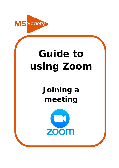

# **Guide to using Zoom**

## **Joining a meeting**

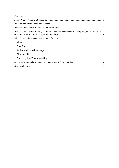## Contents

| How can I join a Zoom meeting via phone (if I do not have access to a computer, laptop, tablet or |  |
|---------------------------------------------------------------------------------------------------|--|
|                                                                                                   |  |
|                                                                                                   |  |
|                                                                                                   |  |
|                                                                                                   |  |
|                                                                                                   |  |
|                                                                                                   |  |
|                                                                                                   |  |
|                                                                                                   |  |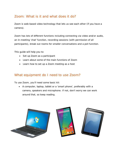## <span id="page-2-0"></span>Zoom: What is it and what does it do?

Zoom is web-based video technology that lets us see each other (if you have a camera).

Zoom has lots of different functions including connecting via video and/or audio, an in-meeting 'chat' function, recording sessions (with permission of all participants), break out rooms for smaller conversations and a poll function.

This guide will help you to:

- Set up Zoom as a participant
- Learn about some of the main functions of Zoom
- Learn how to set up a Zoom meeting as a host

## <span id="page-2-1"></span>What equipment do I need to use Zoom?

To use Zoom, you'll need some basic kit:

• A computer, laptop, tablet or a 'smart phone', preferably with a camera, speakers and microphone. If not, don't worry we can work around that, so keep reading.

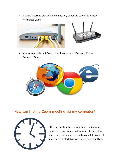• A stable internet/broadband connection, either via cable (Ethernet) or wireless (WiFi)



• Access to an Internet Browser such as Internet Explorer, Chrome, Firefox or Safari.



## <span id="page-3-0"></span>How can I join a Zoom meeting via my computer?



If this is your first time using Zoom and you are using it as a participant, allow yourself some time before the meeting start time to complete your set up and get comfortable with Zoom functionalities.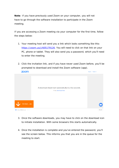**Note**: If you have previously used Zoom on your computer, you will not have to go through the software installation to participate in the Zoom meeting.

If you are accessing a Zoom meeting via your computer for the first time, follow the steps below:

- 1. Your meeting host will send you a link which looks something like this: https://zoom.us/j/605179126. You will need to click on that link on your PC, phone or tablet. They will also send you a password, which you'll need to enter the meeting.
- 2. Click the invitation link, and if you have never used Zoom before, you'll be prompted to download and install the Zoom software (app). **ZOOM** Support English –



- 3. Once the software downloads, you may have to click on the download icon to initiate installation. With some browsers this starts automatically.
- 4. Once the installation is complete and you've entered the password, you'll see the screen below. This informs you that you are in the queue for the meeting to start.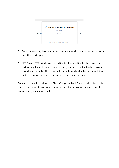

- 5. Once the meeting host starts the meeting you will then be connected with the other participants.
- 6. OPTIONAL STEP: While you're waiting for the meeting to start, you can perform equipment tests to ensure that your audio and video technology is working correctly. These are not compulsory checks, but a useful thing to do to ensure you are set up correctly for your meeting.

To test your audio, click on the 'Test Computer Audio' box. It will take you to the screen shown below, where you can see if your microphone and speakers are receiving an audio signal: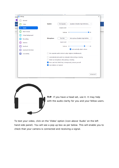| share | Settings  |                           |                                                                            | $\times$                                              |  |  |  |  |
|-------|-----------|---------------------------|----------------------------------------------------------------------------|-------------------------------------------------------|--|--|--|--|
| yť    |           | General                   |                                                                            |                                                       |  |  |  |  |
| Tear  |           | Video                     | Speakers (Realtek High Definition<br><b>Speaker</b><br><b>Test Speaker</b> | v                                                     |  |  |  |  |
| Layo  |           | Audio                     | Output Level:                                                              |                                                       |  |  |  |  |
| ody)  |           | Share Screen              | Volume:<br>к                                                               | Dictate<br>$\qquad \qquad$ $\qquad$ $\qquad$ $\qquad$ |  |  |  |  |
|       | B         | Virtual Background        |                                                                            |                                                       |  |  |  |  |
|       | $\bullet$ | Recording                 | Microphone (Realtek High Definit<br><b>Microphone</b><br><b>Test Mic</b>   | v                                                     |  |  |  |  |
|       | П         | <b>Statistics</b>         | Input Level:                                                               |                                                       |  |  |  |  |
|       | e         | Feedback                  | Volume:                                                                    | - (1)                                                 |  |  |  |  |
|       | ш         | <b>Keyboard Shortcuts</b> | Automatically adjust volume<br>✓                                           |                                                       |  |  |  |  |
|       | G         | Accessibility             | Use separate audio device to play ringtone simultaneously                  |                                                       |  |  |  |  |
|       |           |                           | Automatically join audio by computer when joining a meeting                |                                                       |  |  |  |  |
|       |           |                           | Mute my microphone when joining a meeting                                  |                                                       |  |  |  |  |
|       |           |                           | Press and hold SPACE key to temporarily unmute yourself<br>✓               |                                                       |  |  |  |  |
|       |           |                           | Sync buttons on headset<br>✓                                               |                                                       |  |  |  |  |
|       |           |                           |                                                                            |                                                       |  |  |  |  |
|       |           |                           |                                                                            |                                                       |  |  |  |  |
|       |           |                           |                                                                            | Advanced                                              |  |  |  |  |
|       |           |                           |                                                                            |                                                       |  |  |  |  |



**TIP**: If you have a head set, use it. It may help with the audio clarity for you and your fellow users.

To test your video, click on the 'Video' option (icon above 'Audio' on the left hand side panel). You will see a pop up box as per below. This will enable you to check that your camera is connected and receiving a signal.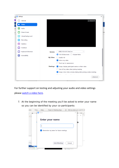

For further support on testing and adjusting your audio and video settings please [watch a video here.](https://www.youtube.com/watch?v=-s76QHshQnY)

7. At the beginning of the meeting you'll be asked to enter your name so you can be identified by your co-participants:

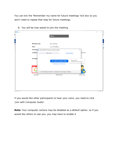You can tick the 'Remember my name for future meetings' tick box so you won't need to repeat that step for future meetings.

| uk                   | C Zoom         |                                                     |                                                             |                       |                             | $\Box$ | $\times$  |                |
|----------------------|----------------|-----------------------------------------------------|-------------------------------------------------------------|-----------------------|-----------------------------|--------|-----------|----------------|
| Ĥ.                   |                |                                                     |                                                             |                       |                             |        |           |                |
| er j                 |                |                                                     | <b>Talking:</b>                                             |                       |                             |        |           |                |
|                      |                |                                                     |                                                             |                       |                             |        |           |                |
| <b>E</b><br>Ca<br>Ca |                |                                                     |                                                             |                       |                             |        |           |                |
|                      |                | <b>Meeting Topic:</b>                               | test meeting                                                |                       |                             |        |           | <b>SI</b>      |
|                      |                | Host:                                               | Jacob Przeklasa                                             |                       |                             |        |           | $\overline{f}$ |
|                      |                | Password Choose ONE of the audio conference options |                                                             |                       | $\times$                    |        |           |                |
|                      |                | Invitation                                          | <b>Phone Call</b>                                           | <b>Computer Audio</b> | hJMVIN                      |        |           |                |
|                      |                |                                                     |                                                             |                       |                             |        |           |                |
|                      |                | <b>Participa</b>                                    |                                                             |                       |                             |        |           |                |
|                      |                |                                                     | <b>Join with Computer Audio</b>                             | To hear others,       | click the Join Audio button |        |           |                |
|                      |                |                                                     | <b>Test Speaker and Microphone</b>                          |                       |                             |        |           |                |
|                      |                | $\bullet\bullet\bullet$                             |                                                             |                       |                             |        |           |                |
|                      |                |                                                     |                                                             |                       |                             |        |           |                |
|                      |                |                                                     | Automatically join audio by computer when joining a meeting |                       |                             |        |           |                |
|                      |                | <b>Join Audio</b>                                   | <b>Share Screen</b>                                         |                       | <b>Invite Others</b>        |        |           |                |
|                      |                |                                                     |                                                             |                       |                             |        |           |                |
|                      |                |                                                     |                                                             |                       |                             |        |           |                |
|                      |                |                                                     |                                                             |                       |                             |        |           |                |
|                      |                |                                                     |                                                             |                       |                             |        |           |                |
|                      |                |                                                     |                                                             |                       |                             |        |           |                |
|                      | English (LLS.) |                                                     |                                                             |                       |                             |        | $-100% +$ |                |

8. You will be now asked to join the meeting.

If you would like other participants to hear your voice, you need to click 'Join with Computer Audio'.

**Note:** Your computer camera may be disabled as a default option, so if you would like others to see you, you may have to enable it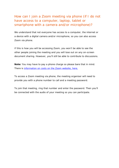## <span id="page-9-0"></span>How can I join a Zoom meeting via phone (if I do not have access to a computer, laptop, tablet or smartphone with a camera and/or microphone)?

We understand that not everyone has access to a computer, the internet or a device with a digital camera and/or microphone, so you can also access Zoom via phone.

If this is how you will be accessing Zoom, you won't be able to see the other people joining the meeting and you will lose out on any on-screen document sharing. However, you'll still be able to contribute to discussions.

**Note:** You may have to pay a phone charge so please bare that in mind. There is [information on costs on the Zoom website, here.](https://zoom.us/zoomconference/rates)

To access a Zoom meeting via phone, the meeting organiser will need to provide you with a phone number to call and a meeting password.

To join that meeting, ring that number and enter the password. Then you'll be connected with the audio of your meeting so you can participate.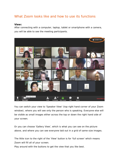## <span id="page-10-0"></span>What Zoom looks like and how to use its functions

#### <span id="page-10-1"></span>**View:**

After connecting with a computer, laptop, tablet or smartphone with a camera, you will be able to see the meeting participants.



You can switch your view to 'Speaker View' (top right hand corner of your Zoom window), where you will see only the person who is speaking. Everyone else will be visible as small images either across the top or down the right hand side of your screen.

Or you can choose 'Gallery View', which is what you can see on the picture above, and where you can see everyone laid out in a grid of same-size images.

The little icon to the right of the 'View' button is for 'full screen' which means Zoom will fill all of your screen.

Play around with the buttons to get the view that you like best.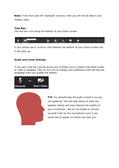**Note:** If the host uses the 'Spotlight' function, then you will not be able to use 'Gallery View'.

#### <span id="page-11-0"></span>**Tool Bar:**

The tool bar runs along the bottom of your Zoom screen.



If you cannot see it, scroll or click towards the bottom of your Zoom screen and it will show up.

#### <span id="page-11-1"></span>**Audio and visual settings:**

If you see a red line running across any of these icons it means that either audio or video is disabled. Click on the icon to change your preference (the red line will disappear once you enable the option)





**TIP:** You should keep the audio muted if you are not speaking. This will help others to hear the speaker clearly and may improve the quality of your connection. But do not forget to unmute yourself (click on the microphone icon) if you would like to speak, so others can hear you.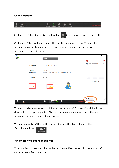#### <span id="page-12-0"></span>**Chat function:**



Click on the 'Chat' button (in the tool bar  $\Box$ ) to type messages to each other.

Clicking on 'Chat' will open up another section on your screen. This function means you can write messages to 'Everyone' in the meeting or a private message to a specific person.



To send a private message, click the arrow to right of 'Everyone' and it will drop down a list of all participants. Click on the person's name and send them a message that only you and they can see.

You can see a list of the participants in the meeting by clicking on the

'Participants' icon



#### <span id="page-12-1"></span>**Finishing the Zoom meeting:**

To exit a Zoom meeting, click on the red 'Leave Meeting' text in the bottom left corner of your Zoom window.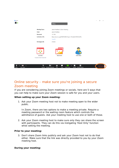

## <span id="page-13-0"></span>Online security - make sure you're joining a secure Zoom meeting

If you are considering joining Zoom meetings or socials, here are 5 ways that you can help to make sure your Zoom session is safe for you and your users.

#### **When setting up your Zoom meeting:**

1. Ask your Zoom meeting host not to make meeting open to the wider public.

In Zoom, there are two options to make a meeting private. Require a meeting password or the waiting room feature which controls the admittance of guests. Ask your meeting host to use one or both of those.

2. Ask your Zoom meeting host to make sure only they can share the screen with participants. They can do this via instigating 'Host Only' function whist setting the meeting.

#### **Prior to your meeting:**

3. Don't share Zoom links publicly and ask your Zoom host not to do that either. Make sure that the link was directly provided to you by your Zoom meeting host.

#### **During your meeting:**